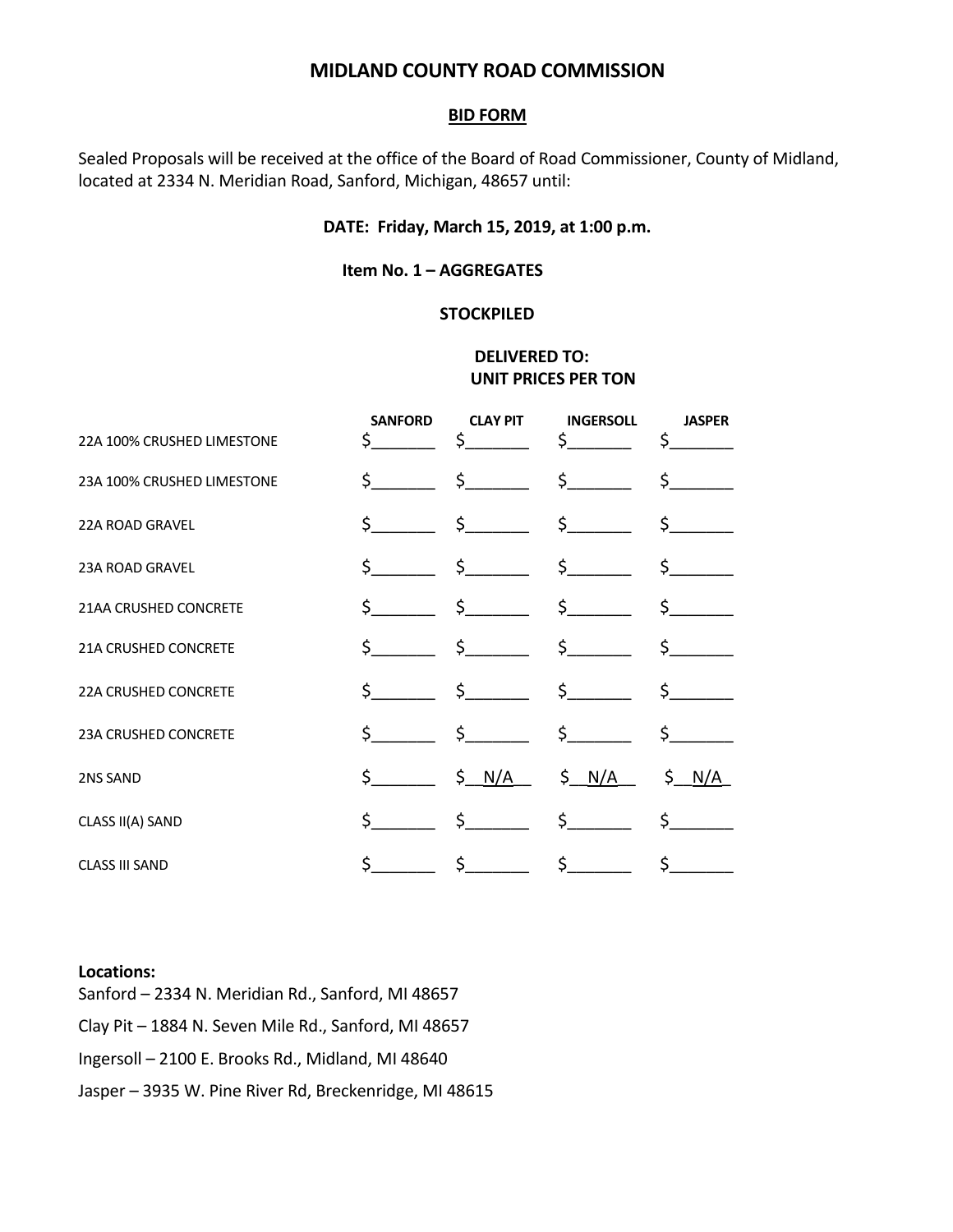# **MIDLAND COUNTY ROAD COMMISSION**

#### **BID FORM**

Sealed Proposals will be received at the office of the Board of Road Commissioner, County of Midland, located at 2334 N. Meridian Road, Sanford, Michigan, 48657 until:

## **DATE: Friday, March 15, 2019, at 1:00 p.m.**

### **Item No. 1 – AGGREGATES**

#### **STOCKPILED**

## **DELIVERED TO: UNIT PRICES PER TON**

| 22A 100% CRUSHED LIMESTONE  | <b>SANFORD</b><br>Ś | <b>CLAY PIT</b><br>$\zeta$                           | <b>INGERSOLL</b><br>$\sharp$ and $\sharp$     | <b>JASPER</b><br>\$.               |
|-----------------------------|---------------------|------------------------------------------------------|-----------------------------------------------|------------------------------------|
| 23A 100% CRUSHED LIMESTONE  |                     | $\zeta$ $\zeta$                                      | $\frac{1}{2}$                                 | $\sharp$ and $\sharp$              |
| <b>22A ROAD GRAVEL</b>      |                     | $\zeta$ $\zeta$                                      | $\frac{\zeta}{\zeta}$                         | $\zeta$ and $\zeta$                |
| 23A ROAD GRAVEL             |                     |                                                      | $\begin{matrix} \xi & \xi & \xi \end{matrix}$ | $\sharp$ and $\sharp$              |
| 21AA CRUSHED CONCRETE       |                     |                                                      | $\begin{matrix} \xi & \xi & \xi \end{matrix}$ | $\sharp$ and $\sharp$              |
| <b>21A CRUSHED CONCRETE</b> |                     | $\zeta$ $\zeta$                                      | $\sharp$ and $\sharp$                         | $\sharp$ , and the set of $\sharp$ |
| <b>22A CRUSHED CONCRETE</b> |                     |                                                      |                                               | $\sharp$ and $\sharp$              |
| 23A CRUSHED CONCRETE        |                     | $\begin{array}{ccc} \text{S} & \text{S} \end{array}$ | $\sharp$                                      | $\sharp$ and $\sharp$              |
| 2NS SAND                    | $\sim$              | $S \frac{N}{A}$                                      | \$ <u>N/A</u>                                 | \$ <u>N/A</u>                      |
| CLASS II(A) SAND            | \$                  | $\sim$ 5                                             | $\frac{1}{2}$                                 | $\sharp$ and $\sharp$              |
| <b>CLASS III SAND</b>       | Ś                   | $\zeta$ and $\zeta$                                  | $\sharp$ and $\sharp$                         | \$                                 |

#### **Locations:**

Sanford – 2334 N. Meridian Rd., Sanford, MI 48657 Clay Pit – 1884 N. Seven Mile Rd., Sanford, MI 48657 Ingersoll – 2100 E. Brooks Rd., Midland, MI 48640 Jasper – 3935 W. Pine River Rd, Breckenridge, MI 48615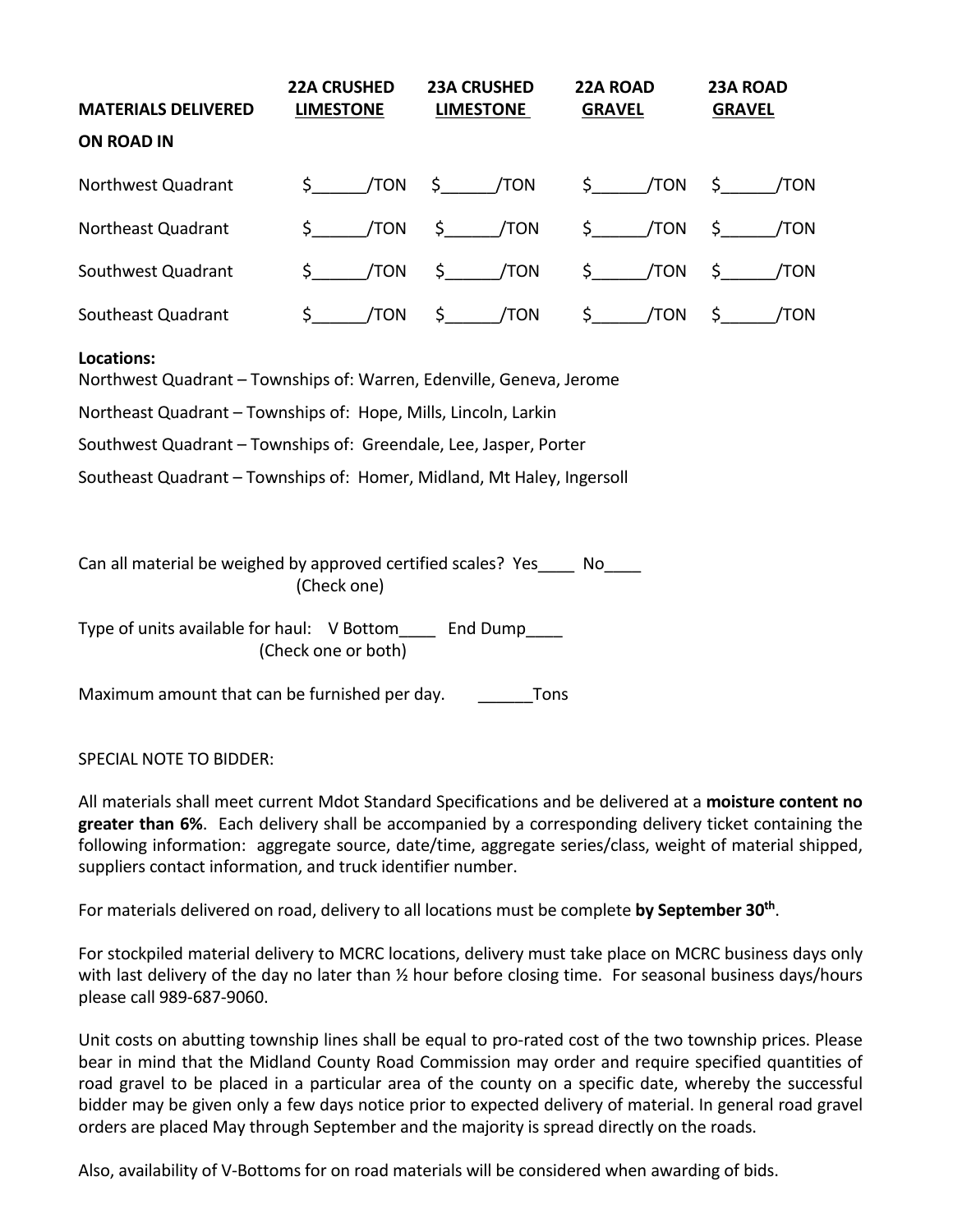| <b>MATERIALS DELIVERED</b> | <b>22A CRUSHED</b><br><b>LIMESTONE</b>         | <b>23A CRUSHED</b><br><b>LIMESTONE</b> | <b>22A ROAD</b><br><b>GRAVEL</b> | 23A ROAD<br><b>GRAVEL</b> |
|----------------------------|------------------------------------------------|----------------------------------------|----------------------------------|---------------------------|
| <b>ON ROAD IN</b>          |                                                |                                        |                                  |                           |
| Northwest Quadrant         | $\mathsf{S}$ . The set of $\mathsf{S}$         | $/TON$ \$ $/TON$                       | $\zeta$ /TON                     | \$   /TON                 |
| Northeast Quadrant         | \$<br>/TON                                     | $\zeta$ /TON                           | $\sin \theta$ /TON               | \$   /TON                 |
| Southwest Quadrant         | $\mathsf{S}$ . The set of $\mathsf{S}$<br>/TON | $\sin \theta$ /TON                     | $\sin \theta$ /TON               | $\zeta$ /TON              |
| Southeast Quadrant         | \$<br>/TON                                     | /TON<br>\$                             | \$<br>/TON                       | /TON<br>\$.               |

## **Locations:**

Northwest Quadrant – Townships of: Warren, Edenville, Geneva, Jerome

Northeast Quadrant – Townships of: Hope, Mills, Lincoln, Larkin

Southwest Quadrant – Townships of: Greendale, Lee, Jasper, Porter

Southeast Quadrant – Townships of: Homer, Midland, Mt Haley, Ingersoll

Can all material be weighed by approved certified scales? Yes No (Check one)

Type of units available for haul: V Bottom\_\_\_\_ End Dump\_\_\_\_ (Check one or both)

Maximum amount that can be furnished per day. Tons

SPECIAL NOTE TO BIDDER:

All materials shall meet current Mdot Standard Specifications and be delivered at a **moisture content no greater than 6%**. Each delivery shall be accompanied by a corresponding delivery ticket containing the following information: aggregate source, date/time, aggregate series/class, weight of material shipped, suppliers contact information, and truck identifier number.

For materials delivered on road, delivery to all locations must be complete **by September 30th**.

For stockpiled material delivery to MCRC locations, delivery must take place on MCRC business days only with last delivery of the day no later than  $\frac{1}{2}$  hour before closing time. For seasonal business days/hours please call 989-687-9060.

Unit costs on abutting township lines shall be equal to pro-rated cost of the two township prices. Please bear in mind that the Midland County Road Commission may order and require specified quantities of road gravel to be placed in a particular area of the county on a specific date, whereby the successful bidder may be given only a few days notice prior to expected delivery of material. In general road gravel orders are placed May through September and the majority is spread directly on the roads.

Also, availability of V-Bottoms for on road materials will be considered when awarding of bids.